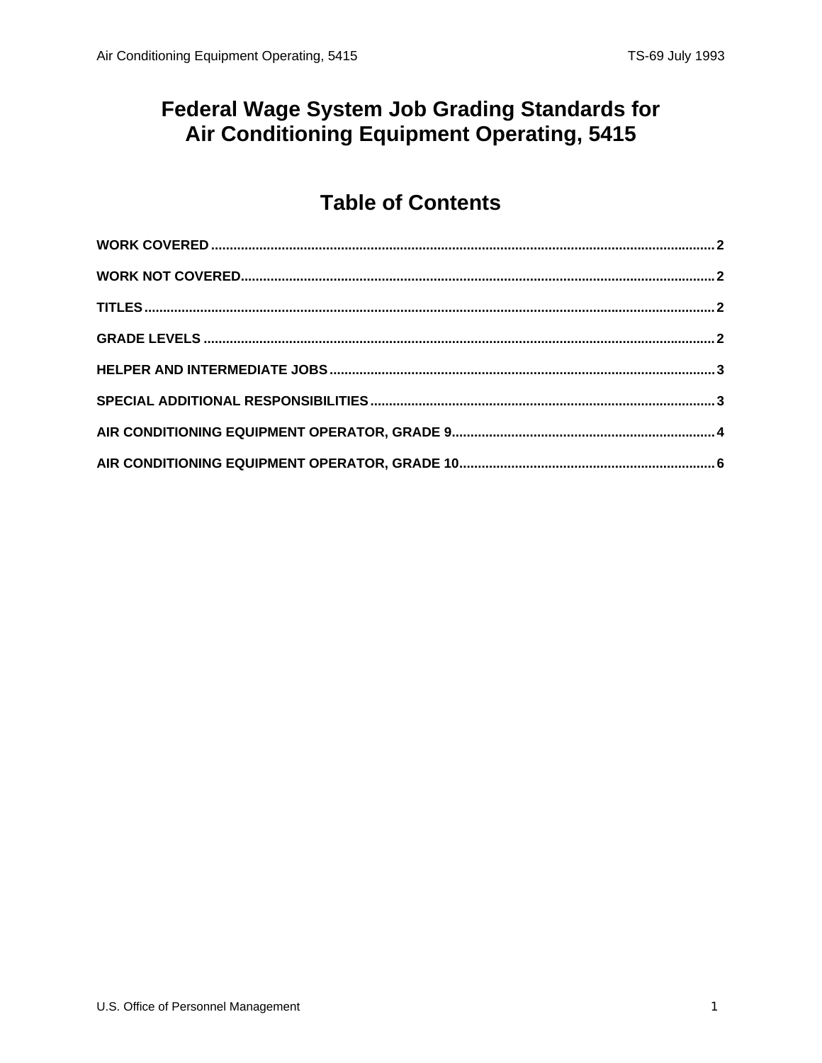#### **Federal Wage System Job Grading Standards for** Air Conditioning Equipment Operating, 5415

## **Table of Contents**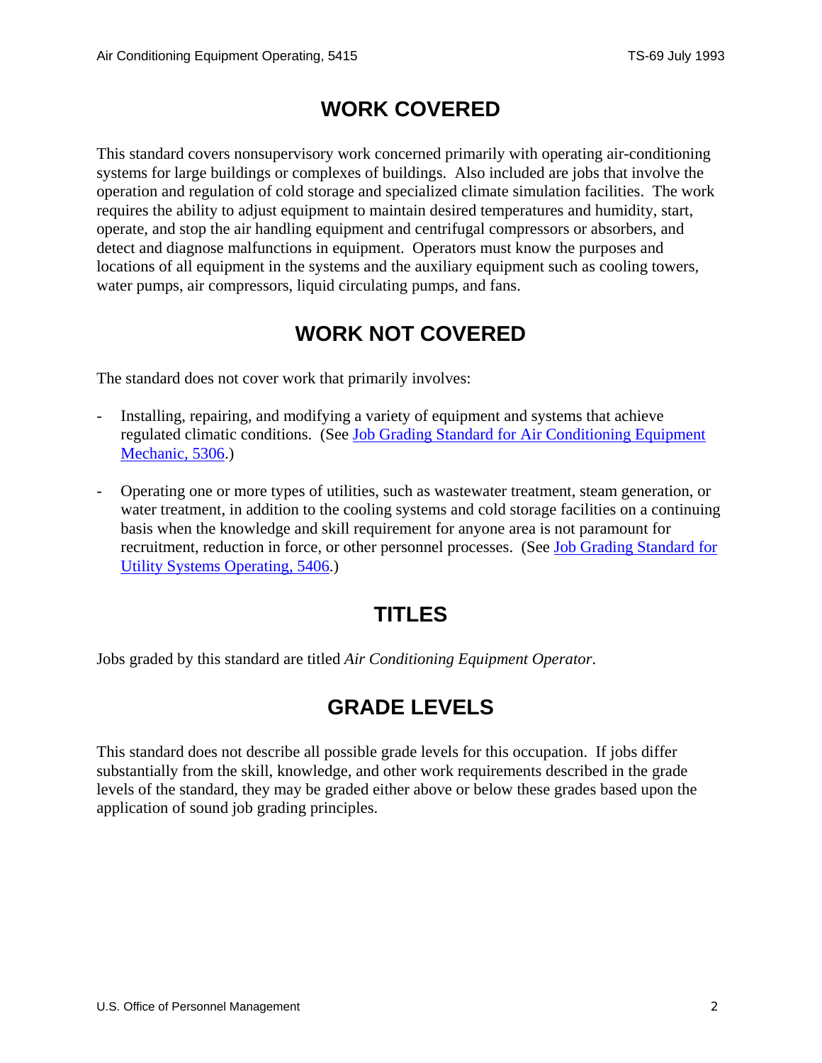### **WORK COVERED**

<span id="page-1-0"></span>This standard covers nonsupervisory work concerned primarily with operating air-conditioning systems for large buildings or complexes of buildings. Also included are jobs that involve the operation and regulation of cold storage and specialized climate simulation facilities. The work requires the ability to adjust equipment to maintain desired temperatures and humidity, start, operate, and stop the air handling equipment and centrifugal compressors or absorbers, and detect and diagnose malfunctions in equipment. Operators must know the purposes and locations of all equipment in the systems and the auxiliary equipment such as cooling towers, water pumps, air compressors, liquid circulating pumps, and fans.

## **WORK NOT COVERED**

The standard does not cover work that primarily involves:

- Installing, repairing, and modifying a variety of equipment and systems that achieve regulated climatic conditions. (See [Job Grading Standard for Air Conditioning Equipment](/fedclass/fws5306.pdf)  [Mechanic, 5306](/fedclass/fws5306.pdf).)
- Operating one or more types of utilities, such as wastewater treatment, steam generation, or water treatment, in addition to the cooling systems and cold storage facilities on a continuing basis when the knowledge and skill requirement for anyone area is not paramount for recruitment, reduction in force, or other personnel processes. (See [Job Grading Standard for](/fedclass/fws5406.pdf)  [Utility Systems Operating, 5406](/fedclass/fws5406.pdf).)

## **TITLES**

Jobs graded by this standard are titled *Air Conditioning Equipment Operator*.

# **GRADE LEVELS**

This standard does not describe all possible grade levels for this occupation. If jobs differ substantially from the skill, knowledge, and other work requirements described in the grade levels of the standard, they may be graded either above or below these grades based upon the application of sound job grading principles.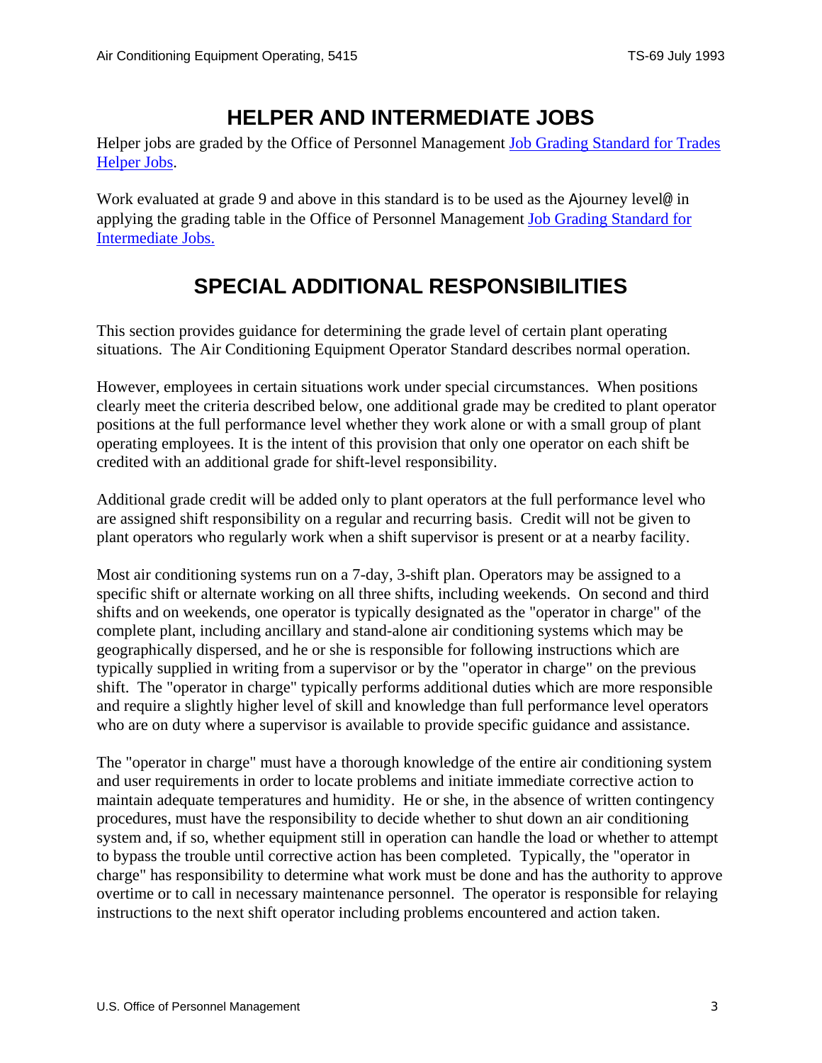### **HELPER AND INTERMEDIATE JOBS**

<span id="page-2-0"></span>Helper jobs are graded by the Office of Personnel Management [Job Grading Standard for Trades](/fedclass/fwshelpr.pdf)  [Helper Jobs](/fedclass/fwshelpr.pdf).

Work evaluated at grade 9 and above in this standard is to be used as the Ajourney level@ in applying the grading table in the Office of Personnel Management [Job Grading Standard for](/fedclass/fwsintm.pdf)  [Intermediate Jobs.](/fedclass/fwsintm.pdf)

# **SPECIAL ADDITIONAL RESPONSIBILITIES**

This section provides guidance for determining the grade level of certain plant operating situations. The Air Conditioning Equipment Operator Standard describes normal operation.

However, employees in certain situations work under special circumstances. When positions clearly meet the criteria described below, one additional grade may be credited to plant operator positions at the full performance level whether they work alone or with a small group of plant operating employees. It is the intent of this provision that only one operator on each shift be credited with an additional grade for shift-level responsibility.

Additional grade credit will be added only to plant operators at the full performance level who are assigned shift responsibility on a regular and recurring basis. Credit will not be given to plant operators who regularly work when a shift supervisor is present or at a nearby facility.

Most air conditioning systems run on a 7-day, 3-shift plan. Operators may be assigned to a specific shift or alternate working on all three shifts, including weekends. On second and third shifts and on weekends, one operator is typically designated as the "operator in charge" of the complete plant, including ancillary and stand-alone air conditioning systems which may be geographically dispersed, and he or she is responsible for following instructions which are typically supplied in writing from a supervisor or by the "operator in charge" on the previous shift. The "operator in charge" typically performs additional duties which are more responsible and require a slightly higher level of skill and knowledge than full performance level operators who are on duty where a supervisor is available to provide specific guidance and assistance.

The "operator in charge" must have a thorough knowledge of the entire air conditioning system and user requirements in order to locate problems and initiate immediate corrective action to maintain adequate temperatures and humidity. He or she, in the absence of written contingency procedures, must have the responsibility to decide whether to shut down an air conditioning system and, if so, whether equipment still in operation can handle the load or whether to attempt to bypass the trouble until corrective action has been completed. Typically, the "operator in charge" has responsibility to determine what work must be done and has the authority to approve overtime or to call in necessary maintenance personnel. The operator is responsible for relaying instructions to the next shift operator including problems encountered and action taken.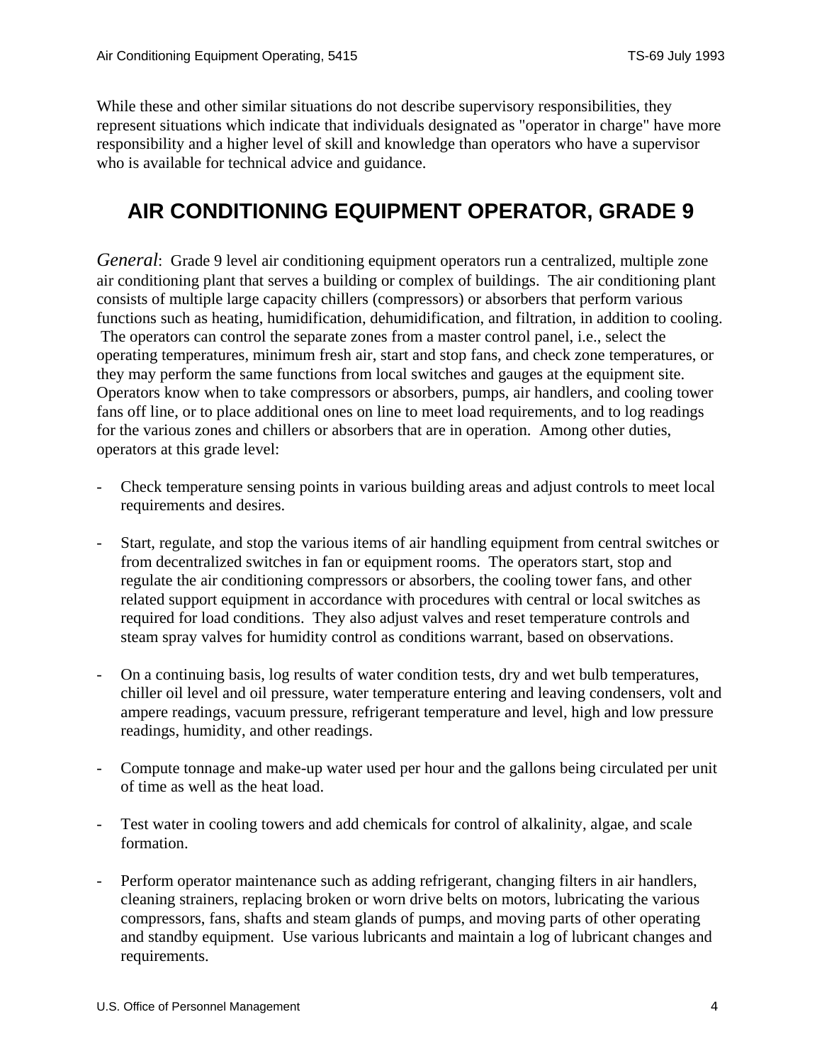<span id="page-3-0"></span>While these and other similar situations do not describe supervisory responsibilities, they represent situations which indicate that individuals designated as "operator in charge" have more responsibility and a higher level of skill and knowledge than operators who have a supervisor who is available for technical advice and guidance.

### **AIR CONDITIONING EQUIPMENT OPERATOR, GRADE 9**

*General*: Grade 9 level air conditioning equipment operators run a centralized, multiple zone air conditioning plant that serves a building or complex of buildings. The air conditioning plant consists of multiple large capacity chillers (compressors) or absorbers that perform various functions such as heating, humidification, dehumidification, and filtration, in addition to cooling. The operators can control the separate zones from a master control panel, i.e., select the operating temperatures, minimum fresh air, start and stop fans, and check zone temperatures, or they may perform the same functions from local switches and gauges at the equipment site. Operators know when to take compressors or absorbers, pumps, air handlers, and cooling tower fans off line, or to place additional ones on line to meet load requirements, and to log readings for the various zones and chillers or absorbers that are in operation. Among other duties, operators at this grade level:

- Check temperature sensing points in various building areas and adjust controls to meet local requirements and desires.
- Start, regulate, and stop the various items of air handling equipment from central switches or from decentralized switches in fan or equipment rooms. The operators start, stop and regulate the air conditioning compressors or absorbers, the cooling tower fans, and other related support equipment in accordance with procedures with central or local switches as required for load conditions. They also adjust valves and reset temperature controls and steam spray valves for humidity control as conditions warrant, based on observations.
- On a continuing basis, log results of water condition tests, dry and wet bulb temperatures, chiller oil level and oil pressure, water temperature entering and leaving condensers, volt and ampere readings, vacuum pressure, refrigerant temperature and level, high and low pressure readings, humidity, and other readings.
- Compute tonnage and make-up water used per hour and the gallons being circulated per unit of time as well as the heat load.
- Test water in cooling towers and add chemicals for control of alkalinity, algae, and scale formation.
- Perform operator maintenance such as adding refrigerant, changing filters in air handlers, cleaning strainers, replacing broken or worn drive belts on motors, lubricating the various compressors, fans, shafts and steam glands of pumps, and moving parts of other operating and standby equipment. Use various lubricants and maintain a log of lubricant changes and requirements.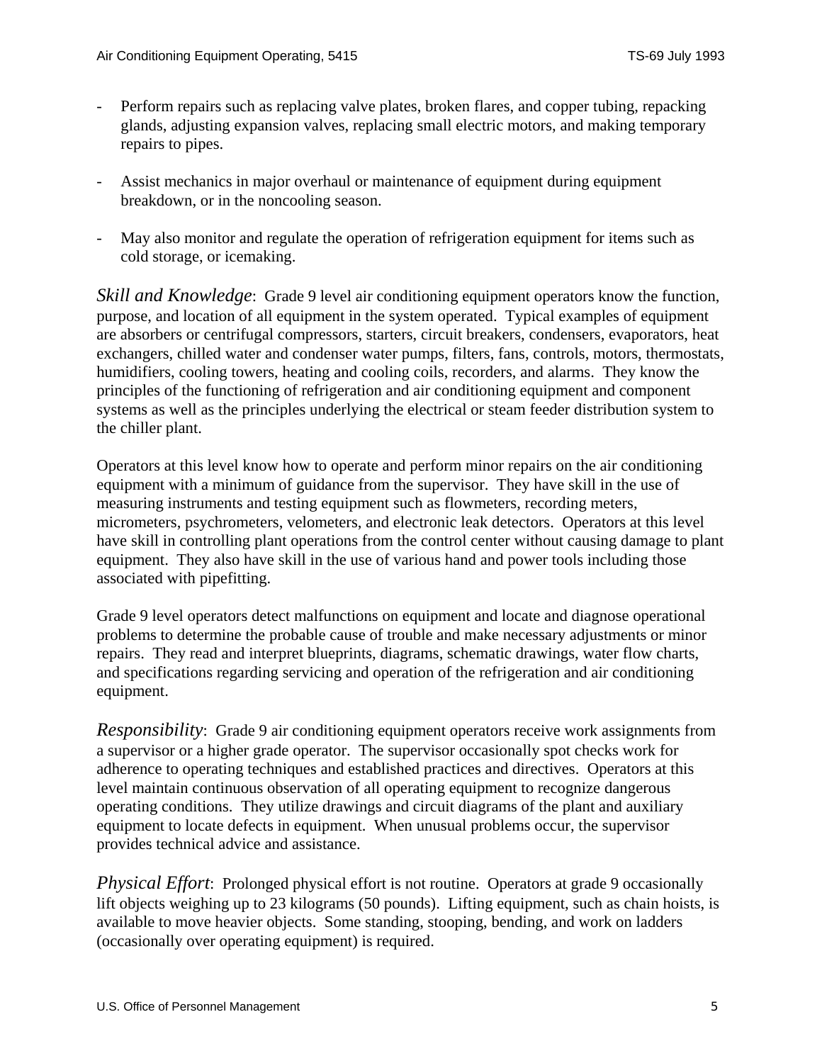- Perform repairs such as replacing valve plates, broken flares, and copper tubing, repacking glands, adjusting expansion valves, replacing small electric motors, and making temporary repairs to pipes.
- Assist mechanics in major overhaul or maintenance of equipment during equipment breakdown, or in the noncooling season.
- May also monitor and regulate the operation of refrigeration equipment for items such as cold storage, or icemaking.

*Skill and Knowledge*: Grade 9 level air conditioning equipment operators know the function, purpose, and location of all equipment in the system operated. Typical examples of equipment are absorbers or centrifugal compressors, starters, circuit breakers, condensers, evaporators, heat exchangers, chilled water and condenser water pumps, filters, fans, controls, motors, thermostats, humidifiers, cooling towers, heating and cooling coils, recorders, and alarms. They know the principles of the functioning of refrigeration and air conditioning equipment and component systems as well as the principles underlying the electrical or steam feeder distribution system to the chiller plant.

Operators at this level know how to operate and perform minor repairs on the air conditioning equipment with a minimum of guidance from the supervisor. They have skill in the use of measuring instruments and testing equipment such as flowmeters, recording meters, micrometers, psychrometers, velometers, and electronic leak detectors. Operators at this level have skill in controlling plant operations from the control center without causing damage to plant equipment. They also have skill in the use of various hand and power tools including those associated with pipefitting.

Grade 9 level operators detect malfunctions on equipment and locate and diagnose operational problems to determine the probable cause of trouble and make necessary adjustments or minor repairs. They read and interpret blueprints, diagrams, schematic drawings, water flow charts, and specifications regarding servicing and operation of the refrigeration and air conditioning equipment.

*Responsibility*: Grade 9 air conditioning equipment operators receive work assignments from a supervisor or a higher grade operator. The supervisor occasionally spot checks work for adherence to operating techniques and established practices and directives. Operators at this level maintain continuous observation of all operating equipment to recognize dangerous operating conditions. They utilize drawings and circuit diagrams of the plant and auxiliary equipment to locate defects in equipment. When unusual problems occur, the supervisor provides technical advice and assistance.

*Physical Effort*: Prolonged physical effort is not routine. Operators at grade 9 occasionally lift objects weighing up to 23 kilograms (50 pounds). Lifting equipment, such as chain hoists, is available to move heavier objects. Some standing, stooping, bending, and work on ladders (occasionally over operating equipment) is required.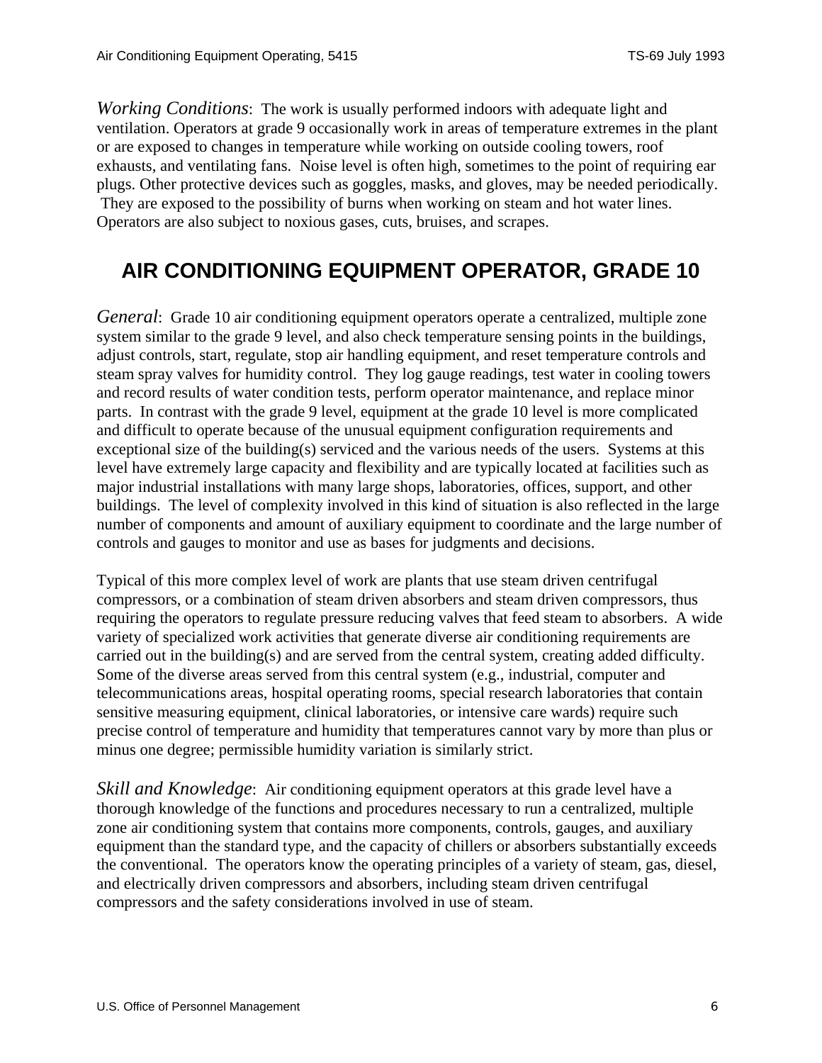<span id="page-5-0"></span>*Working Conditions*: The work is usually performed indoors with adequate light and ventilation. Operators at grade 9 occasionally work in areas of temperature extremes in the plant or are exposed to changes in temperature while working on outside cooling towers, roof exhausts, and ventilating fans. Noise level is often high, sometimes to the point of requiring ear plugs. Other protective devices such as goggles, masks, and gloves, may be needed periodically. They are exposed to the possibility of burns when working on steam and hot water lines. Operators are also subject to noxious gases, cuts, bruises, and scrapes.

## **AIR CONDITIONING EQUIPMENT OPERATOR, GRADE 10**

*General*: Grade 10 air conditioning equipment operators operate a centralized, multiple zone system similar to the grade 9 level, and also check temperature sensing points in the buildings, adjust controls, start, regulate, stop air handling equipment, and reset temperature controls and steam spray valves for humidity control. They log gauge readings, test water in cooling towers and record results of water condition tests, perform operator maintenance, and replace minor parts. In contrast with the grade 9 level, equipment at the grade 10 level is more complicated and difficult to operate because of the unusual equipment configuration requirements and exceptional size of the building(s) serviced and the various needs of the users. Systems at this level have extremely large capacity and flexibility and are typically located at facilities such as major industrial installations with many large shops, laboratories, offices, support, and other buildings. The level of complexity involved in this kind of situation is also reflected in the large number of components and amount of auxiliary equipment to coordinate and the large number of controls and gauges to monitor and use as bases for judgments and decisions.

Typical of this more complex level of work are plants that use steam driven centrifugal compressors, or a combination of steam driven absorbers and steam driven compressors, thus requiring the operators to regulate pressure reducing valves that feed steam to absorbers. A wide variety of specialized work activities that generate diverse air conditioning requirements are carried out in the building(s) and are served from the central system, creating added difficulty. Some of the diverse areas served from this central system (e.g., industrial, computer and telecommunications areas, hospital operating rooms, special research laboratories that contain sensitive measuring equipment, clinical laboratories, or intensive care wards) require such precise control of temperature and humidity that temperatures cannot vary by more than plus or minus one degree; permissible humidity variation is similarly strict.

*Skill and Knowledge*: Air conditioning equipment operators at this grade level have a thorough knowledge of the functions and procedures necessary to run a centralized, multiple zone air conditioning system that contains more components, controls, gauges, and auxiliary equipment than the standard type, and the capacity of chillers or absorbers substantially exceeds the conventional. The operators know the operating principles of a variety of steam, gas, diesel, and electrically driven compressors and absorbers, including steam driven centrifugal compressors and the safety considerations involved in use of steam.